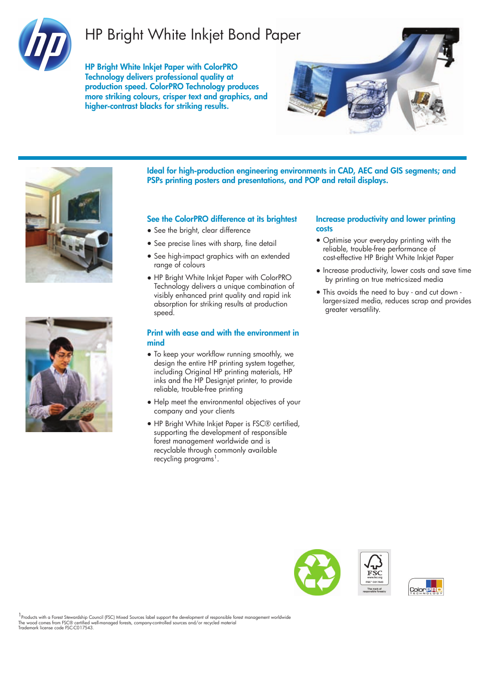

## HP Bright White Inkjet Bond Paper

HP Bright White Inkjet Paper with ColorPRO Technology delivers professional quality at production speed. ColorPRO Technology produces more striking colours, crisper text and graphics, and higher-contrast blacks for striking results.







Ideal for high-production engineering environments in CAD, AEC and GIS segments; and PSPs printing posters and presentations, and POP and retail displays.

### See the ColorPRO difference at its brightest

- See the bright, clear difference
- See precise lines with sharp, fine detail
- See high-impact graphics with an extended range of colours
- HP Bright White Inkjet Paper with ColorPRO Technology delivers a unique combination of visibly enhanced print quality and rapid ink absorption for striking results at production speed.

#### Print with ease and with the environment in mind

- To keep your workflow running smoothly, we design the entire HP printing system together, including Original HP printing materials, HP inks and the HP Designjet printer, to provide reliable, trouble-free printing
- Help meet the environmental objectives of your company and your clients
- HP Bright White Inkjet Paper is FSC® certified, supporting the development of responsible forest management worldwide and is recyclable through commonly available recycling programs<sup>1</sup>.

#### Increase productivity and lower printing costs

- Optimise your everyday printing with the reliable, trouble-free performance of cost-effective HP Bright White Inkjet Paper
- Increase productivity, lower costs and save time by printing on true metric-sized media
- This avoids the need to buy and cut down larger-sized media, reduces scrap and provides greater versatility.





1<br>Products with a Forest Stewardship Council (FSC) Mixed Sources label support the development of responsible forest management worldwide The wood comes from FSC® certified well-managed forests, company-controlled sources and/or recycled material Trademark license code FSC-C017543.